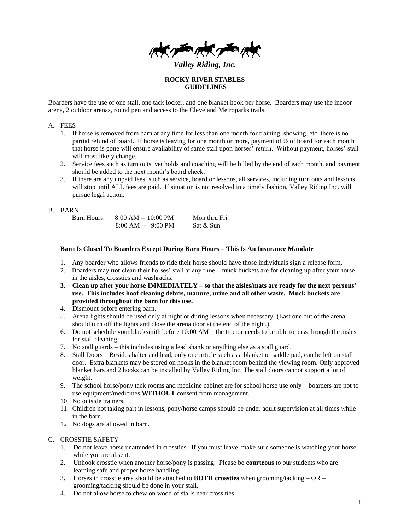*Valley Riding, Inc.*

**ROCKY RIVER STABLES GUIDELINES**

Boarders have the use of one stall, one tack locker, and one blanket hook per horse. Boarders may use the indoor arena, 2 outdoor arenas, round pen and access to the Cleveland Metroparks trails.

#### A. FEES

- 1. If horse is removed from barn at any time for less than one month for training, showing, etc. there is no partial refund of board. If horse is leaving for one month or more, payment of  $\frac{1}{2}$  of board for each month that horse is gone will ensure availability of same stall upon horses' return. Without payment, horses' stall will most likely change.
- 2. Service fees such as turn outs, vet holds and coaching will be billed by the end of each month, and payment should be added to the next month's board check.
- 3. If there are any unpaid fees, such as service, board or lessons, all services, including turn outs and lessons will stop until ALL fees are paid. If situation is not resolved in a timely fashion, Valley Riding Inc. will pursue legal action.

#### B. BARN

| Barn Hours: | $8:00$ AM $-10:00$ PM | Mon thru Fri |
|-------------|-----------------------|--------------|
|             | $8:00$ AM -- 9:00 PM  | Sat & Sun    |

#### **Barn Is Closed To Boarders Except During Barn Hours – This Is An Insurance Mandate**

- 1. Any boarder who allows friends to ride their horse should have those individuals sign a release form.
- 2. Boarders may **not** clean their horses' stall at any time muck buckets are for cleaning up after your horse in the aisles, crossties and washracks.
- **3. Clean up after your horse IMMEDIATELY – so that the aisles/mats are ready for the next persons' use. This includes hoof cleaning debris, manure, urine and all other waste. Muck buckets are provided throughout the barn for this use.**
- 4. Dismount before entering barn.
- 5. Arena lights should be used only at night or during lessons when necessary. (Last one out of the arena should turn off the lights and close the arena door at the end of the night.)
- 6. Do not schedule your blacksmith before 10:00 AM the tractor needs to be able to pass through the aisles for stall cleaning.
- 7. No stall guards this includes using a lead shank or anything else as a stall guard.
- 8. Stall Doors Besides halter and lead, only one article such as a blanket or saddle pad, can be left on stall door**.** Extra blankets may be stored on hooks in the blanket room behind the viewing room. Only approved blanket bars and 2 hooks can be installed by Valley Riding Inc. The stall doors cannot support a lot of weight.
- 9. The school horse/pony tack rooms and medicine cabinet are for school horse use only boarders are not to use equipment/medicines **WITHOUT** consent from management.
- 10. No outside trainers.
- 11. Children not taking part in lessons, pony/horse camps should be under adult supervision at all times while in the barn.
- 12. No dogs are allowed in barn.

# C. CROSSTIE SAFETY

- 1. Do not leave horse unattended in crossties. If you must leave, make sure someone is watching your horse while you are absent.
- 2. Unhook crosstie when another horse/pony is passing. Please be **courteous** to our students who are learning safe and proper horse handling.
- 3. Horses in crosstie area should be attached to **BOTH crossties** when grooming/tacking OR grooming/tacking should be done in your stall.
- 4. Do not allow horse to chew on wood of stalls near cross ties.